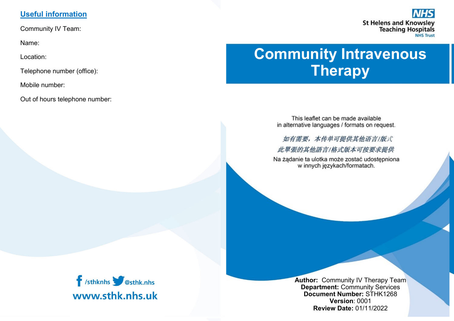# **Useful information**

Community IV Team:

Name:

Location:

Telephone number (office):

Mobile number:

Out of hours telephone number:



# **Community Intravenous Therapy**

This leaflet can be made available in alternative languages / formats on request.

如有需要,本传单可提供其他语言/版式 此單張的其他語言/格式版本可按要求提供

Na żądanie ta ulotka może zostać udostępniona w innych językach/formatach.



**Author:** Community IV Therapy Team **Department:** Community Services **Document Number:** STHK1268 **Version**: 0001 **Review Date:** 01/11/2022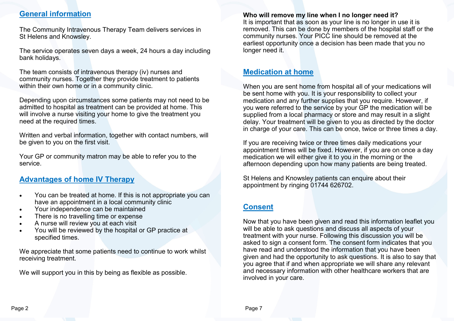# **General information**

The Community Intravenous Therapy Team delivers services in St Helens and Knowsley.

The service operates seven days a week, 24 hours a day including bank holidays.

The team consists of intravenous therapy (iv) nurses and community nurses. Together they provide treatment to patients within their own home or in a community clinic.

Depending upon circumstances some patients may not need to be admitted to hospital as treatment can be provided at home. This will involve a nurse visiting your home to give the treatment you need at the required times.

Written and verbal information, together with contact numbers, will be given to you on the first visit.

Your GP or community matron may be able to refer you to the service.

# **Advantages of home IV Therapy**

- You can be treated at home. If this is not appropriate you can have an appointment in a local community clinic
- Your independence can be maintained
- There is no travelling time or expense
- A nurse will review you at each visit
- You will be reviewed by the hospital or GP practice at specified times.

We appreciate that some patients need to continue to work whilst receiving treatment.

We will support you in this by being as flexible as possible.

#### **Who will remove my line when I no longer need it?**

It is important that as soon as your line is no longer in use it is removed. This can be done by members of the hospital staff or the community nurses. Your PICC line should be removed at the earliest opportunity once a decision has been made that you no longer need it.

## **Medication at home**

When you are sent home from hospital all of your medications will be sent home with you. It is your responsibility to collect your medication and any further supplies that you require. However, if you were referred to the service by your GP the medication will be supplied from a local pharmacy or store and may result in a slight delay. Your treatment will be given to you as directed by the doctor in charge of your care. This can be once, twice or three times a day.

If you are receiving twice or three times daily medications your appointment times will be fixed. However, if you are on once a day medication we will either give it to you in the morning or the afternoon depending upon how many patients are being treated.

St Helens and Knowsley patients can enquire about their appointment by ringing 01744 626702.

# **Consent**

Now that you have been given and read this information leaflet you will be able to ask questions and discuss all aspects of your treatment with your nurse. Following this discussion you will be asked to sign a consent form. The consent form indicates that you have read and understood the information that you have been given and had the opportunity to ask questions. It is also to say that you agree that if and when appropriate we will share any relevant and necessary information with other healthcare workers that are involved in your care.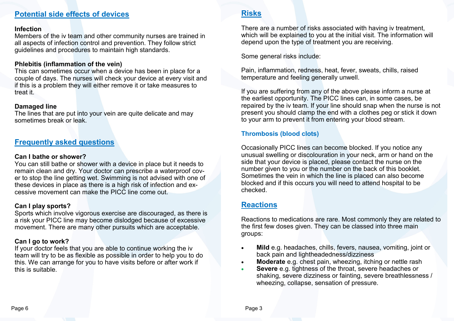## **Potential side effects of devices**

#### **Infection**

Members of the iv team and other community nurses are trained in all aspects of infection control and prevention. They follow strict guidelines and procedures to maintain high standards.

#### **Phlebitis (inflammation of the vein)**

This can sometimes occur when a device has been in place for a couple of days. The nurses will check your device at every visit and if this is a problem they will either remove it or take measures to treat it.

#### **Damaged line**

The lines that are put into your vein are quite delicate and may sometimes break or leak.

## **Frequently asked questions**

#### **Can I bathe or shower?**

You can still bathe or shower with a device in place but it needs to remain clean and dry. Your doctor can prescribe a waterproof cover to stop the line getting wet. Swimming is not advised with one of these devices in place as there is a high risk of infection and excessive movement can make the PICC line come out.

## **Can I play sports?**

Sports which involve vigorous exercise are discouraged, as there is a risk your PICC line may become dislodged because of excessive movement. There are many other pursuits which are acceptable.

## **Can I go to work?**

If your doctor feels that you are able to continue working the iv team will try to be as flexible as possible in order to help you to do this. We can arrange for you to have visits before or after work if this is suitable.

## **Risks**

There are a number of risks associated with having iv treatment, which will be explained to you at the initial visit. The information will depend upon the type of treatment you are receiving.

Some general risks include:

Pain, inflammation, redness, heat, fever, sweats, chills, raised temperature and feeling generally unwell.

If you are suffering from any of the above please inform a nurse at the earliest opportunity. The PICC lines can, in some cases, be repaired by the iv team. If your line should snap when the nurse is not present you should clamp the end with a clothes peg or stick it down to your arm to prevent it from entering your blood stream.

## **Thrombosis (blood clots)**

Occasionally PICC lines can become blocked. If you notice any unusual swelling or discolouration in your neck, arm or hand on the side that your device is placed, please contact the nurse on the number given to you or the number on the back of this booklet. Sometimes the vein in which the line is placed can also become blocked and if this occurs you will need to attend hospital to be checked.

## **Reactions**

Reactions to medications are rare. Most commonly they are related to the first few doses given. They can be classed into three main groups:

- **Mild** e.g. headaches, chills, fevers, nausea, vomiting, joint or back pain and lightheadedness/dizziness
- **Moderate** e.g. chest pain, wheezing, itching or nettle rash
- **Severe** e.g. tightness of the throat, severe headaches or shaking, severe dizziness or fainting, severe breathlessness / wheezing, collapse, sensation of pressure.